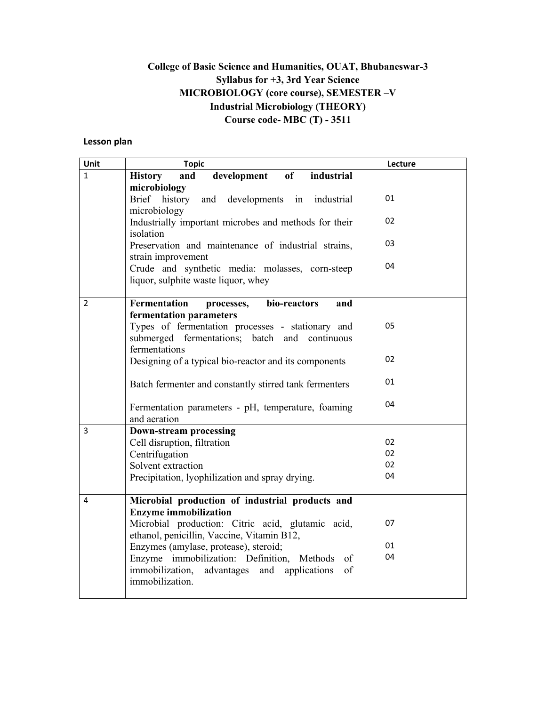### **College of Basic Science and Humanities, OUAT, Bhubaneswar-3 Syllabus for +3, 3rd Year Science MICROBIOLOGY (core course), SEMESTER –V Industrial Microbiology (THEORY) Course code- MBC (T) - 3511**

#### **Lesson plan**

| Unit          | <b>Topic</b>                                                                                                                                  | Lecture |
|---------------|-----------------------------------------------------------------------------------------------------------------------------------------------|---------|
| $\mathbf{1}$  | of<br>development<br>industrial<br><b>History</b><br>and                                                                                      |         |
|               | microbiology<br>Brief history<br>and developments in<br>industrial<br>microbiology                                                            | 01      |
|               | Industrially important microbes and methods for their<br>isolation                                                                            | 02      |
|               | Preservation and maintenance of industrial strains,<br>strain improvement                                                                     | 03      |
|               | Crude and synthetic media: molasses, corn-steep<br>liquor, sulphite waste liquor, whey                                                        | 04      |
| $\mathcal{P}$ | Fermentation<br>bio-reactors<br>and<br>processes,                                                                                             |         |
|               | fermentation parameters<br>Types of fermentation processes - stationary and<br>submerged fermentations; batch and continuous<br>fermentations | 05      |
|               | Designing of a typical bio-reactor and its components                                                                                         | 02      |
|               | Batch fermenter and constantly stirred tank fermenters                                                                                        | 01      |
|               | Fermentation parameters - pH, temperature, foaming<br>and aeration                                                                            | 04      |
| 3             | <b>Down-stream processing</b>                                                                                                                 |         |
|               | Cell disruption, filtration                                                                                                                   | 02      |
|               | Centrifugation                                                                                                                                | 02      |
|               | Solvent extraction                                                                                                                            | 02      |
|               | Precipitation, lyophilization and spray drying.                                                                                               | 04      |
| 4             | Microbial production of industrial products and                                                                                               |         |
|               | <b>Enzyme immobilization</b>                                                                                                                  |         |
|               | Microbial production: Citric acid, glutamic acid,<br>ethanol, penicillin, Vaccine, Vitamin B12,                                               | 07      |
|               | Enzymes (amylase, protease), steroid;                                                                                                         | 01      |
|               | Enzyme immobilization: Definition, Methods<br>of                                                                                              | 04      |
|               | immobilization,<br>advantages and applications<br>of<br>immobilization.                                                                       |         |
|               |                                                                                                                                               |         |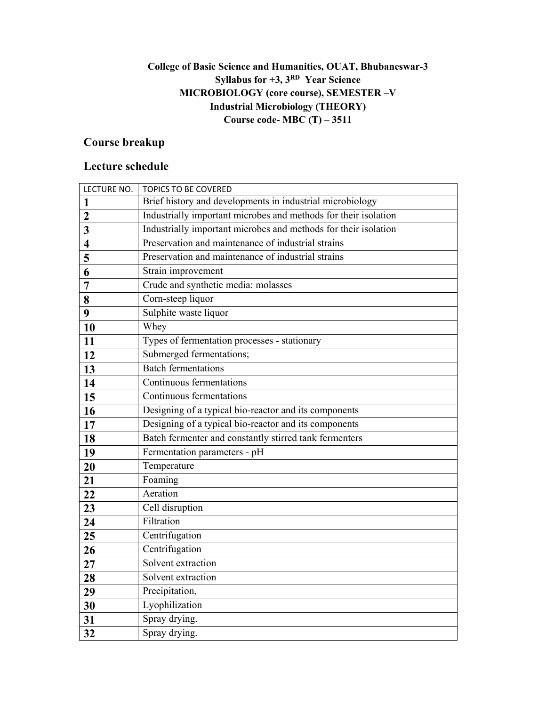## **College of Basic Science and Humanities, OUAT, Bhubaneswar-3 Syllabus for +3, 3RD Year Science MICROBIOLOGY (core course), SEMESTER –V Industrial Microbiology (THEORY) Course code- MBC (T) – 3511**

# **Course breakup**

| LECTURE NO.             | <b>TOPICS TO BE COVERED</b>                                     |
|-------------------------|-----------------------------------------------------------------|
| 1                       | Brief history and developments in industrial microbiology       |
| $\overline{2}$          | Industrially important microbes and methods for their isolation |
| $\overline{\mathbf{3}}$ | Industrially important microbes and methods for their isolation |
| $\overline{\mathbf{4}}$ | Preservation and maintenance of industrial strains              |
| 5                       | Preservation and maintenance of industrial strains              |
| 6                       | Strain improvement                                              |
| $\overline{7}$          | Crude and synthetic media: molasses                             |
| 8                       | Corn-steep liquor                                               |
| 9                       | Sulphite waste liquor                                           |
| 10                      | Whey                                                            |
| 11                      | Types of fermentation processes - stationary                    |
| 12                      | Submerged fermentations;                                        |
| 13                      | <b>Batch fermentations</b>                                      |
| 14                      | Continuous fermentations                                        |
| 15                      | Continuous fermentations                                        |
| 16                      | Designing of a typical bio-reactor and its components           |
| 17                      | Designing of a typical bio-reactor and its components           |
| 18                      | Batch fermenter and constantly stirred tank fermenters          |
| 19                      | Fermentation parameters - pH                                    |
| 20                      | Temperature                                                     |
| 21                      | Foaming                                                         |
| 22                      | Aeration                                                        |
| 23                      | Cell disruption                                                 |
| 24                      | Filtration                                                      |
| 25                      | Centrifugation                                                  |
| 26                      | Centrifugation                                                  |
| 27                      | Solvent extraction                                              |
| 28                      | Solvent extraction                                              |
| 29                      | Precipitation,                                                  |
| 30                      | Lyophilization                                                  |
| 31                      | Spray drying.                                                   |
| 32                      | Spray drying.                                                   |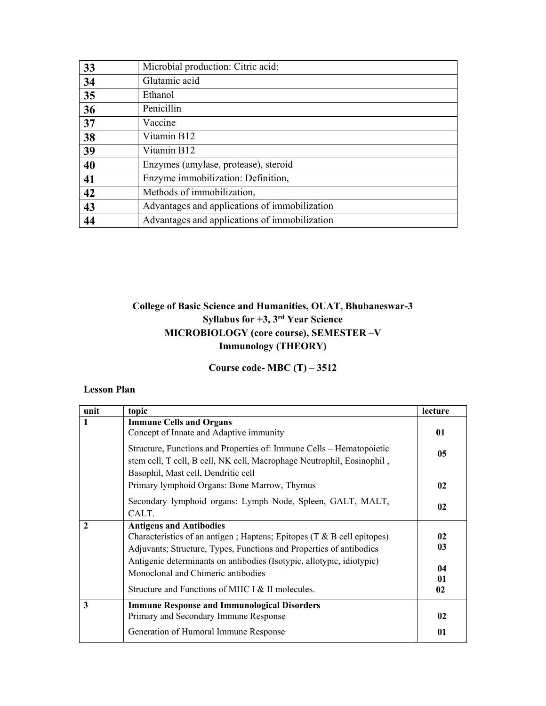| 33 | Microbial production: Citric acid;            |
|----|-----------------------------------------------|
| 34 | Glutamic acid                                 |
| 35 | Ethanol                                       |
| 36 | Penicillin                                    |
| 37 | Vaccine                                       |
| 38 | Vitamin B12                                   |
| 39 | Vitamin B12                                   |
| 40 | Enzymes (amylase, protease), steroid          |
| 41 | Enzyme immobilization: Definition,            |
| 42 | Methods of immobilization,                    |
| 43 | Advantages and applications of immobilization |
| 44 | Advantages and applications of immobilization |

## **College of Basic Science and Humanities, OUAT, Bhubaneswar-3 Syllabus for +3, 3rd Year Science MICROBIOLOGY (core course), SEMESTER –V Immunology (THEORY)**

**Course code- MBC (T) – 3512** 

#### **Lesson Plan**

| unit         | topic                                                                                                                                                                                                                                                                                                                                                | lecture                    |
|--------------|------------------------------------------------------------------------------------------------------------------------------------------------------------------------------------------------------------------------------------------------------------------------------------------------------------------------------------------------------|----------------------------|
| 1            | <b>Immune Cells and Organs</b><br>Concept of Innate and Adaptive immunity                                                                                                                                                                                                                                                                            | 01                         |
|              | Structure, Functions and Properties of: Immune Cells - Hematopoietic<br>stem cell, T cell, B cell, NK cell, Macrophage Neutrophil, Eosinophil,<br>Basophil, Mast cell, Dendritic cell                                                                                                                                                                | 05                         |
|              | Primary lymphoid Organs: Bone Marrow, Thymus                                                                                                                                                                                                                                                                                                         | 02                         |
|              | Secondary lymphoid organs: Lymph Node, Spleen, GALT, MALT,<br>CALT.                                                                                                                                                                                                                                                                                  | 02                         |
| $\mathbf{2}$ | <b>Antigens and Antibodies</b><br>Characteristics of an antigen; Haptens; Epitopes $(T & B$ cell epitopes)<br>Adjuvants; Structure, Types, Functions and Properties of antibodies<br>Antigenic determinants on antibodies (Isotypic, allotypic, idiotypic)<br>Monoclonal and Chimeric antibodies<br>Structure and Functions of MHC I & II molecules. | 02<br>03<br>04<br>01<br>02 |
| 3            | <b>Immune Response and Immunological Disorders</b><br>Primary and Secondary Immune Response<br>Generation of Humoral Immune Response                                                                                                                                                                                                                 | 02<br>01                   |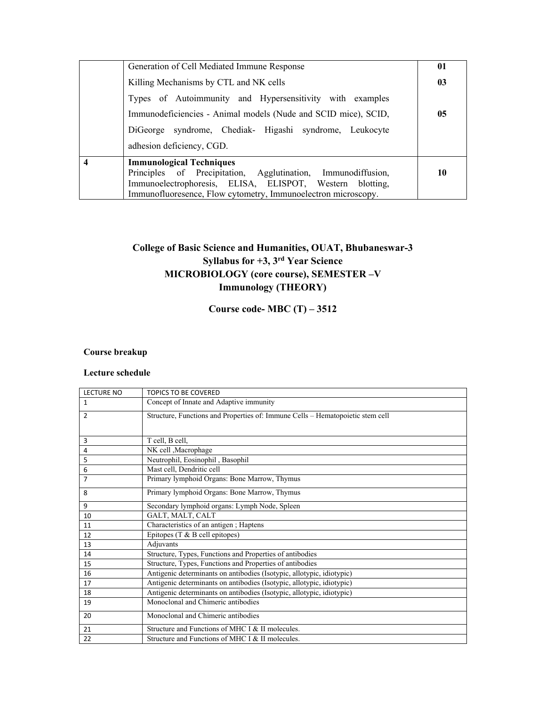| Generation of Cell Mediated Immune Response                                                                                                                 | 01 |
|-------------------------------------------------------------------------------------------------------------------------------------------------------------|----|
| Killing Mechanisms by CTL and NK cells                                                                                                                      | 03 |
| Types of Autoimmunity and Hypersensitivity with examples                                                                                                    |    |
| Immunodeficiencies - Animal models (Nude and SCID mice), SCID,                                                                                              | 05 |
| DiGeorge syndrome, Chediak- Higashi syndrome, Leukocyte                                                                                                     |    |
| adhesion deficiency, CGD.                                                                                                                                   |    |
| <b>Immunological Techniques</b><br>Principles of Precipitation, Agglutination, Immunodiffusion,<br>Immunoelectrophoresis, ELISA, ELISPOT, Western blotting, | 10 |
| Immunofluoresence, Flow cytometry, Immunoelectron microscopy.                                                                                               |    |

## **College of Basic Science and Humanities, OUAT, Bhubaneswar-3 Syllabus for +3, 3rd Year Science MICROBIOLOGY (core course), SEMESTER –V Immunology (THEORY)**

#### **Course code- MBC (T) – 3512**

#### **Course breakup**

| <b>LECTURE NO</b> | <b>TOPICS TO BE COVERED</b>                                                    |
|-------------------|--------------------------------------------------------------------------------|
| $\mathbf{1}$      | Concept of Innate and Adaptive immunity                                        |
| $\overline{2}$    | Structure, Functions and Properties of: Immune Cells - Hematopoietic stem cell |
|                   |                                                                                |
| 3                 | T cell, B cell,                                                                |
| 4                 | NK cell , Macrophage                                                           |
| 5                 | Neutrophil, Eosinophil, Basophil                                               |
| 6                 | Mast cell, Dendritic cell                                                      |
| 7                 | Primary lymphoid Organs: Bone Marrow, Thymus                                   |
| 8                 | Primary lymphoid Organs: Bone Marrow, Thymus                                   |
| 9                 | Secondary lymphoid organs: Lymph Node, Spleen                                  |
| 10                | GALT, MALT, CALT                                                               |
| 11                | Characteristics of an antigen; Haptens                                         |
| 12                | Epitopes $(T & B$ cell epitopes)                                               |
| 13                | Adjuvants                                                                      |
| 14                | Structure, Types, Functions and Properties of antibodies                       |
| 15                | Structure, Types, Functions and Properties of antibodies                       |
| 16                | Antigenic determinants on antibodies (Isotypic, allotypic, idiotypic)          |
| 17                | Antigenic determinants on antibodies (Isotypic, allotypic, idiotypic)          |
| 18                | Antigenic determinants on antibodies (Isotypic, allotypic, idiotypic)          |
| 19                | Monoclonal and Chimeric antibodies                                             |
| 20                | Monoclonal and Chimeric antibodies                                             |
| 21                | Structure and Functions of MHC I & II molecules.                               |
| 22                | Structure and Functions of MHC I & II molecules.                               |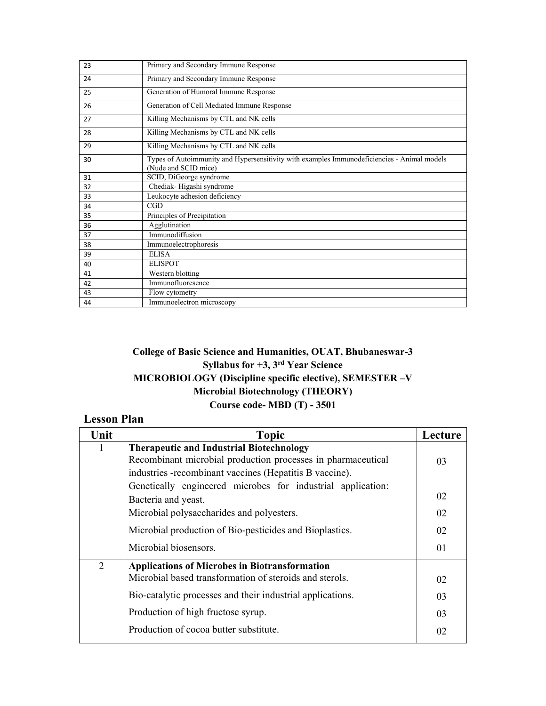| 23 | Primary and Secondary Immune Response                                                                               |
|----|---------------------------------------------------------------------------------------------------------------------|
| 24 | Primary and Secondary Immune Response                                                                               |
| 25 | Generation of Humoral Immune Response                                                                               |
| 26 | Generation of Cell Mediated Immune Response                                                                         |
| 27 | Killing Mechanisms by CTL and NK cells                                                                              |
| 28 | Killing Mechanisms by CTL and NK cells                                                                              |
| 29 | Killing Mechanisms by CTL and NK cells                                                                              |
| 30 | Types of Autoimmunity and Hypersensitivity with examples Immunodeficiencies - Animal models<br>(Nude and SCID mice) |
| 31 | SCID, DiGeorge syndrome                                                                                             |
| 32 | Chediak-Higashi syndrome                                                                                            |
| 33 | Leukocyte adhesion deficiency                                                                                       |
| 34 | CGD                                                                                                                 |
| 35 | Principles of Precipitation                                                                                         |
| 36 | Agglutination                                                                                                       |
| 37 | Immunodiffusion                                                                                                     |
| 38 | Immunoelectrophoresis                                                                                               |
| 39 | <b>ELISA</b>                                                                                                        |
| 40 | <b>ELISPOT</b>                                                                                                      |
| 41 | Western blotting                                                                                                    |
| 42 | Immunofluoresence                                                                                                   |
| 43 | Flow cytometry                                                                                                      |
| 44 | Immunoelectron microscopy                                                                                           |

#### **College of Basic Science and Humanities, OUAT, Bhubaneswar-3 Syllabus for +3, 3rd Year Science MICROBIOLOGY (Discipline specific elective), SEMESTER –V Microbial Biotechnology (THEORY) Course code- MBD (T) - 3501**

# **Lesson Plan**

| Unit         | <b>Topic</b>                                                 | Lecture |
|--------------|--------------------------------------------------------------|---------|
| $\mathbf{1}$ | <b>Therapeutic and Industrial Biotechnology</b>              |         |
|              | Recombinant microbial production processes in pharmaceutical | 03      |
|              | industries -recombinant vaccines (Hepatitis B vaccine).      |         |
|              | Genetically engineered microbes for industrial application:  |         |
|              | Bacteria and yeast.                                          | 02      |
|              | Microbial polysaccharides and polyesters.                    | 02      |
|              | Microbial production of Bio-pesticides and Bioplastics.      | 02      |
|              | Microbial biosensors.                                        | 01      |
| 2            | <b>Applications of Microbes in Biotransformation</b>         |         |
|              | Microbial based transformation of steroids and sterols.      | 02      |
|              | Bio-catalytic processes and their industrial applications.   | 03      |
|              | Production of high fructose syrup.                           | 03      |
|              | Production of cocoa butter substitute.                       | 02      |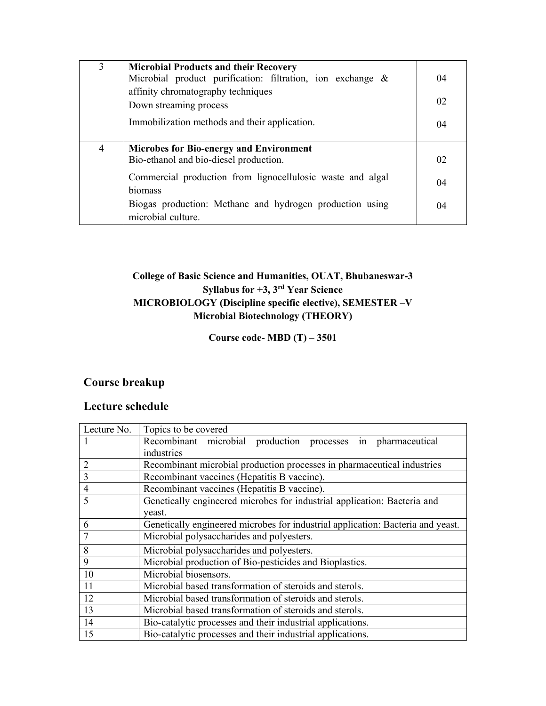| 3 | <b>Microbial Products and their Recovery</b><br>Microbial product purification: filtration, ion exchange &<br>affinity chromatography techniques<br>Down streaming process                                                                          | 04<br>02       |
|---|-----------------------------------------------------------------------------------------------------------------------------------------------------------------------------------------------------------------------------------------------------|----------------|
|   | Immobilization methods and their application.                                                                                                                                                                                                       | 04             |
| 4 | <b>Microbes for Bio-energy and Environment</b><br>Bio-ethanol and bio-diesel production.<br>Commercial production from lignocellulosic waste and algal<br>biomass<br>Biogas production: Methane and hydrogen production using<br>microbial culture. | 02<br>04<br>04 |

#### **College of Basic Science and Humanities, OUAT, Bhubaneswar-3 Syllabus for +3, 3rd Year Science MICROBIOLOGY (Discipline specific elective), SEMESTER –V Microbial Biotechnology (THEORY)**

**Course code- MBD (T) – 3501** 

# **Course breakup**

| Lecture No.    | Topics to be covered                                                            |
|----------------|---------------------------------------------------------------------------------|
|                | Recombinant microbial production processes in pharmaceutical                    |
|                | industries                                                                      |
| 2              | Recombinant microbial production processes in pharmaceutical industries         |
| 3              | Recombinant vaccines (Hepatitis B vaccine).                                     |
| $\overline{4}$ | Recombinant vaccines (Hepatitis B vaccine).                                     |
| 5              | Genetically engineered microbes for industrial application: Bacteria and        |
|                | yeast.                                                                          |
| 6              | Genetically engineered microbes for industrial application: Bacteria and yeast. |
|                | Microbial polysaccharides and polyesters.                                       |
| 8              | Microbial polysaccharides and polyesters.                                       |
| 9              | Microbial production of Bio-pesticides and Bioplastics.                         |
| 10             | Microbial biosensors.                                                           |
| <sup>11</sup>  | Microbial based transformation of steroids and sterols.                         |
| 12             | Microbial based transformation of steroids and sterols.                         |
| 13             | Microbial based transformation of steroids and sterols.                         |
| 14             | Bio-catalytic processes and their industrial applications.                      |
| 15             | Bio-catalytic processes and their industrial applications.                      |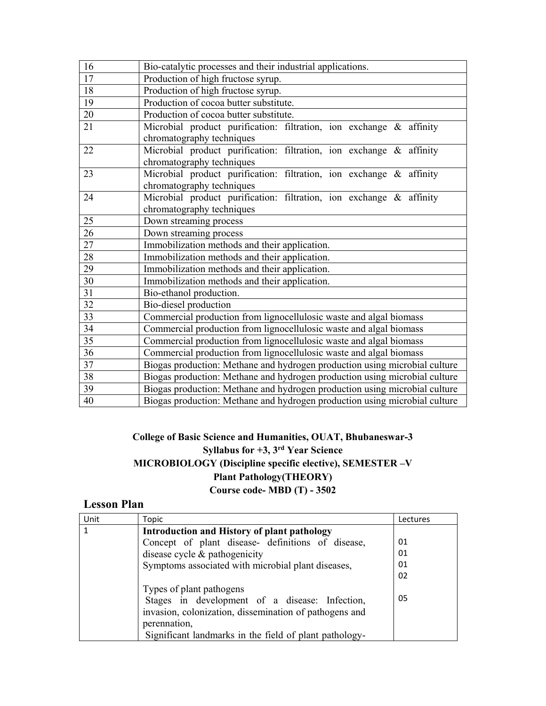| 16 | Bio-catalytic processes and their industrial applications.                 |  |  |
|----|----------------------------------------------------------------------------|--|--|
| 17 | Production of high fructose syrup.                                         |  |  |
| 18 | Production of high fructose syrup.                                         |  |  |
| 19 | Production of cocoa butter substitute.                                     |  |  |
| 20 | Production of cocoa butter substitute.                                     |  |  |
| 21 | Microbial product purification: filtration, ion exchange & affinity        |  |  |
|    | chromatography techniques                                                  |  |  |
| 22 | Microbial product purification: filtration, ion exchange & affinity        |  |  |
|    | chromatography techniques                                                  |  |  |
| 23 | Microbial product purification: filtration, ion exchange & affinity        |  |  |
|    | chromatography techniques                                                  |  |  |
| 24 | Microbial product purification: filtration, ion exchange & affinity        |  |  |
|    | chromatography techniques                                                  |  |  |
| 25 | Down streaming process                                                     |  |  |
| 26 | Down streaming process                                                     |  |  |
| 27 | Immobilization methods and their application.                              |  |  |
| 28 | Immobilization methods and their application.                              |  |  |
| 29 | Immobilization methods and their application.                              |  |  |
| 30 | Immobilization methods and their application.                              |  |  |
| 31 | Bio-ethanol production.                                                    |  |  |
| 32 | Bio-diesel production                                                      |  |  |
| 33 | Commercial production from lignocellulosic waste and algal biomass         |  |  |
| 34 | Commercial production from lignocellulosic waste and algal biomass         |  |  |
| 35 | Commercial production from lignocellulosic waste and algal biomass         |  |  |
| 36 | Commercial production from lignocellulosic waste and algal biomass         |  |  |
| 37 | Biogas production: Methane and hydrogen production using microbial culture |  |  |
| 38 | Biogas production: Methane and hydrogen production using microbial culture |  |  |
| 39 | Biogas production: Methane and hydrogen production using microbial culture |  |  |
| 40 | Biogas production: Methane and hydrogen production using microbial culture |  |  |

#### **College of Basic Science and Humanities, OUAT, Bhubaneswar-3 Syllabus for +3, 3rd Year Science MICROBIOLOGY (Discipline specific elective), SEMESTER –V Plant Pathology(THEORY) Course code- MBD (T) - 3502**

## **Lesson Plan**

| Unit | Topic                                                  | Lectures |
|------|--------------------------------------------------------|----------|
|      | <b>Introduction and History of plant pathology</b>     |          |
|      | Concept of plant disease- definitions of disease,      | 01       |
|      | disease cycle & pathogenicity                          | 01       |
|      | Symptoms associated with microbial plant diseases,     | 01       |
|      |                                                        | 02       |
|      | Types of plant pathogens                               |          |
|      | Stages in development of a disease: Infection,         | 05       |
|      | invasion, colonization, dissemination of pathogens and |          |
|      | perennation,                                           |          |
|      | Significant landmarks in the field of plant pathology- |          |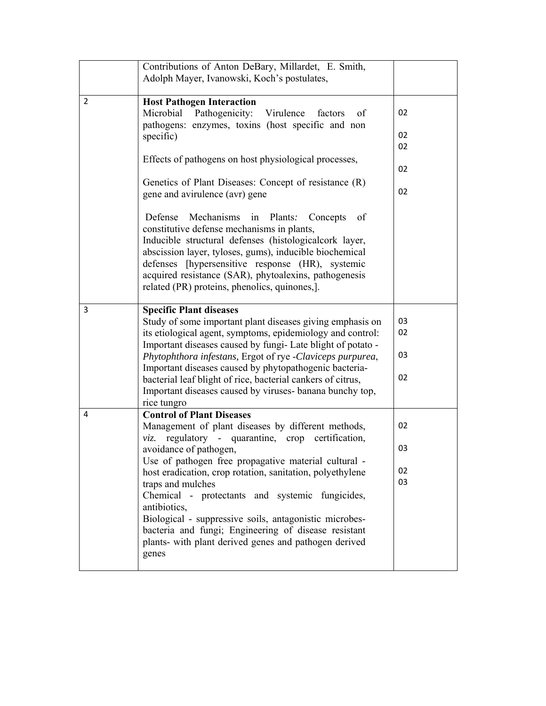|   | Contributions of Anton DeBary, Millardet, E. Smith,<br>Adolph Mayer, Ivanowski, Koch's postulates,                                                                                                                                                                                                                                                                                     |          |
|---|----------------------------------------------------------------------------------------------------------------------------------------------------------------------------------------------------------------------------------------------------------------------------------------------------------------------------------------------------------------------------------------|----------|
| 2 | <b>Host Pathogen Interaction</b><br>Pathogenicity:<br>Microbial<br>Virulence<br>factors<br>of<br>pathogens: enzymes, toxins (host specific and non<br>specific)                                                                                                                                                                                                                        | 02<br>02 |
|   | Effects of pathogens on host physiological processes,                                                                                                                                                                                                                                                                                                                                  | 02<br>02 |
|   | Genetics of Plant Diseases: Concept of resistance (R)<br>gene and avirulence (avr) gene                                                                                                                                                                                                                                                                                                | 02       |
|   | Mechanisms in<br>Defense<br>Plants:<br>Concepts<br>of<br>constitutive defense mechanisms in plants,<br>Inducible structural defenses (histologicalcork layer,<br>abscission layer, tyloses, gums), inducible biochemical<br>defenses [hypersensitive response (HR), systemic<br>acquired resistance (SAR), phytoalexins, pathogenesis<br>related (PR) proteins, phenolics, quinones,]. |          |
| 3 | <b>Specific Plant diseases</b><br>Study of some important plant diseases giving emphasis on<br>its etiological agent, symptoms, epidemiology and control:                                                                                                                                                                                                                              | 03<br>02 |
|   | Important diseases caused by fungi- Late blight of potato -<br>Phytophthora infestans, Ergot of rye -Claviceps purpurea,                                                                                                                                                                                                                                                               | 03       |
|   | Important diseases caused by phytopathogenic bacteria-<br>bacterial leaf blight of rice, bacterial cankers of citrus,<br>Important diseases caused by viruses- banana bunchy top,<br>rice tungro                                                                                                                                                                                       | 02       |
| 4 | <b>Control of Plant Diseases</b><br>Management of plant diseases by different methods,<br>regulatory - quarantine, crop certification,<br>viz.                                                                                                                                                                                                                                         | 02       |
|   | avoidance of pathogen,<br>Use of pathogen free propagative material cultural -                                                                                                                                                                                                                                                                                                         | 03       |
|   | host eradication, crop rotation, sanitation, polyethylene                                                                                                                                                                                                                                                                                                                              | 02       |
|   | traps and mulches<br>Chemical - protectants and systemic fungicides,<br>antibiotics,<br>Biological - suppressive soils, antagonistic microbes-<br>bacteria and fungi; Engineering of disease resistant<br>plants- with plant derived genes and pathogen derived<br>genes                                                                                                               | 03       |
|   |                                                                                                                                                                                                                                                                                                                                                                                        |          |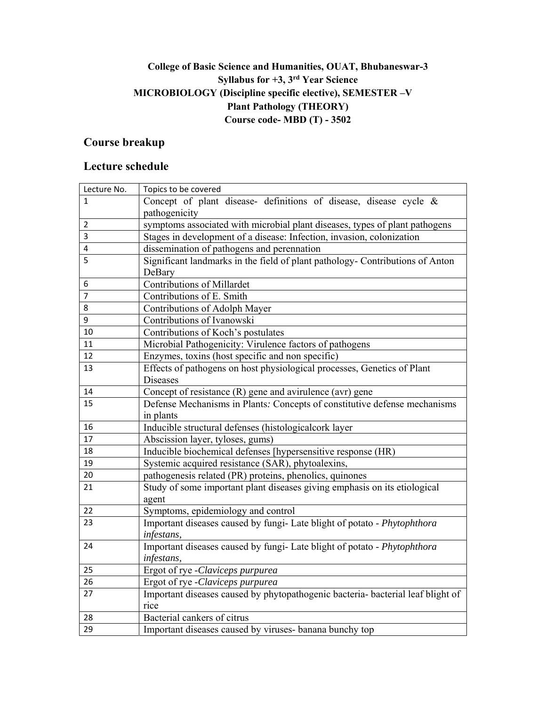## **College of Basic Science and Humanities, OUAT, Bhubaneswar-3 Syllabus for +3, 3rd Year Science MICROBIOLOGY (Discipline specific elective), SEMESTER –V Plant Pathology (THEORY) Course code- MBD (T) - 3502**

### **Course breakup**

| Lecture No. | Topics to be covered                                                            |  |  |
|-------------|---------------------------------------------------------------------------------|--|--|
| 1           | Concept of plant disease- definitions of disease, disease cycle $\&$            |  |  |
|             | pathogenicity                                                                   |  |  |
| 2           | symptoms associated with microbial plant diseases, types of plant pathogens     |  |  |
| 3           | Stages in development of a disease: Infection, invasion, colonization           |  |  |
| 4           | dissemination of pathogens and perennation                                      |  |  |
| 5           | Significant landmarks in the field of plant pathology- Contributions of Anton   |  |  |
|             | DeBary                                                                          |  |  |
| 6           | <b>Contributions of Millardet</b>                                               |  |  |
| 7           | Contributions of E. Smith                                                       |  |  |
| 8           | Contributions of Adolph Mayer                                                   |  |  |
| 9           | Contributions of Ivanowski                                                      |  |  |
| 10          | Contributions of Koch's postulates                                              |  |  |
| 11          | Microbial Pathogenicity: Virulence factors of pathogens                         |  |  |
| 12          | Enzymes, toxins (host specific and non specific)                                |  |  |
| 13          | Effects of pathogens on host physiological processes, Genetics of Plant         |  |  |
|             | <b>Diseases</b>                                                                 |  |  |
| 14          | Concept of resistance (R) gene and avirulence $\overline{(avr)}$ gene           |  |  |
| 15          | Defense Mechanisms in Plants: Concepts of constitutive defense mechanisms       |  |  |
|             | in plants                                                                       |  |  |
| 16          | Inducible structural defenses (histologicalcork layer                           |  |  |
| 17          | Abscission layer, tyloses, gums)                                                |  |  |
| 18          | Inducible biochemical defenses [hypersensitive response (HR)                    |  |  |
| 19          | Systemic acquired resistance (SAR), phytoalexins,                               |  |  |
| 20          | pathogenesis related (PR) proteins, phenolics, quinones                         |  |  |
| 21          | Study of some important plant diseases giving emphasis on its etiological       |  |  |
|             | agent                                                                           |  |  |
| 22          | Symptoms, epidemiology and control                                              |  |  |
| 23          | Important diseases caused by fungi- Late blight of potato - Phytophthora        |  |  |
|             | infestans,                                                                      |  |  |
| 24          | Important diseases caused by fungi- Late blight of potato - Phytophthora        |  |  |
|             | infestans,                                                                      |  |  |
| 25          | Ergot of rye -Claviceps purpurea                                                |  |  |
| 26          | Ergot of rye -Claviceps purpurea                                                |  |  |
| 27          | Important diseases caused by phytopathogenic bacteria- bacterial leaf blight of |  |  |
|             | rice                                                                            |  |  |
| 28          | Bacterial cankers of citrus                                                     |  |  |
| 29          | Important diseases caused by viruses- banana bunchy top                         |  |  |